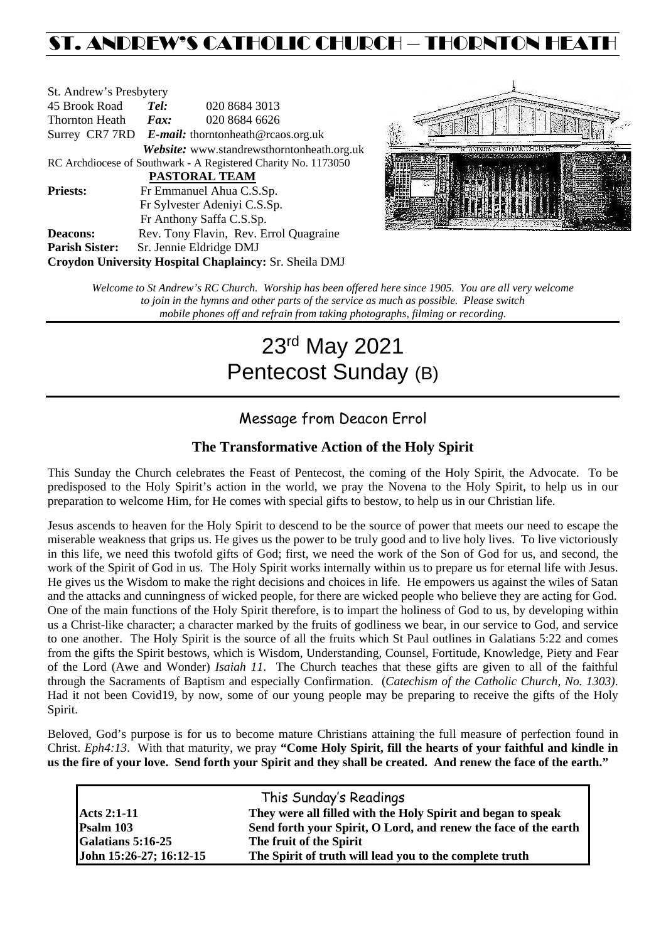# ST. ANDREW'S CATHOLIC CHURCH – THORNTON HEAT

| St. Andrew's Presbytery |                     |                                                                |
|-------------------------|---------------------|----------------------------------------------------------------|
| 45 Brook Road           | Tel:                | 020 8684 3013                                                  |
| <b>Thornton Heath</b>   | $\boldsymbol{Fax:}$ | 020 8684 6626                                                  |
|                         |                     | Surrey CR7 7RD $E$ -mail: thorntonheath@rcaos.org.uk           |
|                         |                     | Website: www.standrewsthorntonheath.org.uk                     |
|                         |                     | RC Archdiocese of Southwark - A Registered Charity No. 1173050 |
|                         |                     | <b>PASTORAL TEAM</b>                                           |
| <b>Priests:</b>         |                     | Fr Emmanuel Ahua C.S.Sp.                                       |
|                         |                     | Fr Sylvester Adeniyi C.S.Sp.                                   |
|                         |                     | Fr Anthony Saffa C.S.Sp.                                       |
| <b>Deacons:</b>         |                     | Rev. Tony Flavin, Rev. Errol Quagraine                         |
| <b>Parish Sister:</b>   |                     | Sr. Jennie Eldridge DMJ                                        |
|                         |                     | <b>Croydon University Hospital Chaplaincy: Sr. Sheila DMJ</b>  |



*Welcome to St Andrew's RC Church. Worship has been offered here since 1905. You are all very welcome to join in the hymns and other parts of the service as much as possible. Please switch mobile phones off and refrain from taking photographs, filming or recording.*

# 23rd May 2021 Pentecost Sunday (B)

# Message from Deacon Errol

# **The Transformative Action of the Holy Spirit**

This Sunday the Church celebrates the Feast of Pentecost, the coming of the Holy Spirit, the Advocate. To be predisposed to the Holy Spirit's action in the world, we pray the Novena to the Holy Spirit, to help us in our preparation to welcome Him, for He comes with special gifts to bestow, to help us in our Christian life.

Jesus ascends to heaven for the Holy Spirit to descend to be the source of power that meets our need to escape the miserable weakness that grips us. He gives us the power to be truly good and to live holy lives. To live victoriously in this life, we need this twofold gifts of God; first, we need the work of the Son of God for us, and second, the work of the Spirit of God in us. The Holy Spirit works internally within us to prepare us for eternal life with Jesus. He gives us the Wisdom to make the right decisions and choices in life. He empowers us against the wiles of Satan and the attacks and cunningness of wicked people, for there are wicked people who believe they are acting for God. One of the main functions of the Holy Spirit therefore, is to impart the holiness of God to us, by developing within us a Christ-like character; a character marked by the fruits of godliness we bear, in our service to God, and service to one another. The Holy Spirit is the source of all the fruits which St Paul outlines in Galatians 5:22 and comes from the gifts the Spirit bestows, which is Wisdom, Understanding, Counsel, Fortitude, Knowledge, Piety and Fear of the Lord (Awe and Wonder) *Isaiah 11*. The Church teaches that these gifts are given to all of the faithful through the Sacraments of Baptism and especially Confirmation. (*Catechism of the Catholic Church, No. 1303)*. Had it not been Covid19, by now, some of our young people may be preparing to receive the gifts of the Holy Spirit.

Beloved, God's purpose is for us to become mature Christians attaining the full measure of perfection found in Christ. *Eph4:13*. With that maturity, we pray **"Come Holy Spirit, fill the hearts of your faithful and kindle in us the fire of your love. Send forth your Spirit and they shall be created. And renew the face of the earth."** 

|                         | This Sunday's Readings                                          |
|-------------------------|-----------------------------------------------------------------|
| <b>Acts 2:1-11</b>      | They were all filled with the Holy Spirit and began to speak    |
| Psalm 103               | Send forth your Spirit, O Lord, and renew the face of the earth |
| Galatians 5:16-25       | The fruit of the Spirit                                         |
| John 15:26-27; 16:12-15 | The Spirit of truth will lead you to the complete truth         |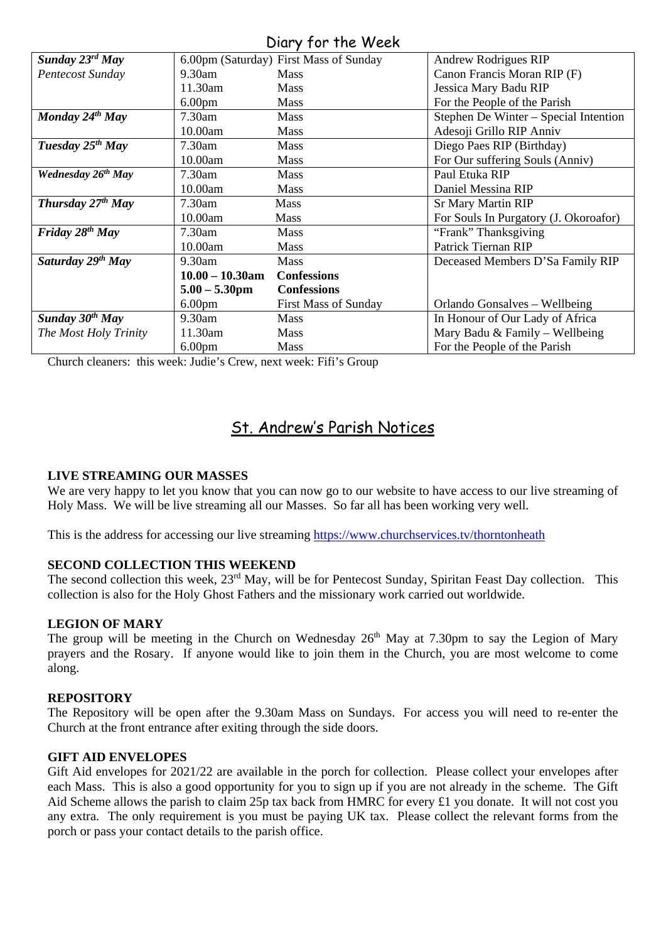# Diary for the Week

| Sunday $23^{rd}$ May<br>6.00pm (Saturday) First Mass of Sunday<br><b>Andrew Rodrigues RIP</b> |
|-----------------------------------------------------------------------------------------------|
|                                                                                               |
| Canon Francis Moran RIP (F)<br>Pentecost Sunday<br>$9.30$ am<br><b>Mass</b>                   |
| Jessica Mary Badu RIP<br>11.30am<br><b>Mass</b>                                               |
| 6.00 <sub>pm</sub><br>For the People of the Parish<br><b>Mass</b>                             |
| Monday $24^{th}$ May<br>7.30am<br>Stephen De Winter – Special Intention<br>Mass               |
| Adesoji Grillo RIP Anniv<br>10.00am<br><b>Mass</b>                                            |
| Tuesday 25 <sup>th</sup> May<br>7.30am<br>Diego Paes RIP (Birthday)<br>Mass                   |
| 10.00am<br>For Our suffering Souls (Anniv)<br><b>Mass</b>                                     |
| Wednesday 26 <sup>th</sup> May<br>7.30am<br>Paul Etuka RIP<br><b>Mass</b>                     |
| 10.00am<br>Daniel Messina RIP<br><b>Mass</b>                                                  |
| Thursday $27th$ May<br><b>Sr Mary Martin RIP</b><br>7.30am<br><b>Mass</b>                     |
| 10.00am<br>For Souls In Purgatory (J. Okoroafor)<br><b>Mass</b>                               |
| Friday $28^{th}$ May<br>"Frank" Thanksgiving<br>7.30am<br><b>Mass</b>                         |
| Patrick Tiernan RIP<br>10.00am<br><b>Mass</b>                                                 |
| Saturday 29th May<br>$9.30$ am<br><b>Mass</b><br>Deceased Members D'Sa Family RIP             |
| $10.00 - 10.30$ am<br><b>Confessions</b>                                                      |
| <b>Confessions</b><br>$5.00 - 5.30$ pm                                                        |
| 6.00 <sub>pm</sub><br><b>First Mass of Sunday</b><br>Orlando Gonsalves – Wellbeing            |
| Sunday 30 <sup>th</sup> May<br>9.30am<br>In Honour of Our Lady of Africa<br><b>Mass</b>       |
| Mary Badu & Family – Wellbeing<br>The Most Holy Trinity<br>11.30am<br><b>Mass</b>             |
| For the People of the Parish<br>6.00 <sub>pm</sub><br><b>Mass</b>                             |

Church cleaners: this week: Judie's Crew, next week: Fifi's Group

# St. Andrew's Parish Notices

## **LIVE STREAMING OUR MASSES**

We are very happy to let you know that you can now go to our website to have access to our live streaming of Holy Mass. We will be live streaming all our Masses. So far all has been working very well.

This is the address for accessing our live streaming<https://www.churchservices.tv/thorntonheath>

#### **SECOND COLLECTION THIS WEEKEND**

The second collection this week, 23<sup>rd</sup> May, will be for Pentecost Sunday, Spiritan Feast Day collection. This collection is also for the Holy Ghost Fathers and the missionary work carried out worldwide.

#### **LEGION OF MARY**

The group will be meeting in the Church on Wednesday  $26<sup>th</sup>$  May at 7.30pm to say the Legion of Mary prayers and the Rosary. If anyone would like to join them in the Church, you are most welcome to come along.

#### **REPOSITORY**

The Repository will be open after the 9.30am Mass on Sundays. For access you will need to re-enter the Church at the front entrance after exiting through the side doors.

#### **GIFT AID ENVELOPES**

Gift Aid envelopes for 2021/22 are available in the porch for collection. Please collect your envelopes after each Mass. This is also a good opportunity for you to sign up if you are not already in the scheme. The Gift Aid Scheme allows the parish to claim 25p tax back from HMRC for every £1 you donate. It will not cost you any extra. The only requirement is you must be paying UK tax. Please collect the relevant forms from the porch or pass your contact details to the parish office.